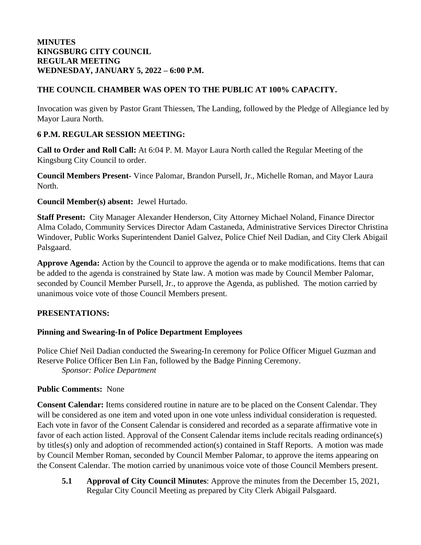## **THE COUNCIL CHAMBER WAS OPEN TO THE PUBLIC AT 100% CAPACITY.**

Invocation was given by Pastor Grant Thiessen, The Landing, followed by the Pledge of Allegiance led by Mayor Laura North.

#### **6 P.M. REGULAR SESSION MEETING:**

**Call to Order and Roll Call:** At 6:04 P. M. Mayor Laura North called the Regular Meeting of the Kingsburg City Council to order.

**Council Members Present-** Vince Palomar, Brandon Pursell, Jr., Michelle Roman, and Mayor Laura North.

**Council Member(s) absent:** Jewel Hurtado.

**Staff Present:** City Manager Alexander Henderson, City Attorney Michael Noland, Finance Director Alma Colado, Community Services Director Adam Castaneda, Administrative Services Director Christina Windover, Public Works Superintendent Daniel Galvez, Police Chief Neil Dadian, and City Clerk Abigail Palsgaard.

**Approve Agenda:** Action by the Council to approve the agenda or to make modifications. Items that can be added to the agenda is constrained by State law. A motion was made by Council Member Palomar, seconded by Council Member Pursell, Jr., to approve the Agenda, as published. The motion carried by unanimous voice vote of those Council Members present.

### **PRESENTATIONS:**

### **Pinning and Swearing-In of Police Department Employees**

Police Chief Neil Dadian conducted the Swearing-In ceremony for Police Officer Miguel Guzman and Reserve Police Officer Ben Lin Fan, followed by the Badge Pinning Ceremony. *Sponsor: Police Department*

### **Public Comments:** None

**Consent Calendar:** Items considered routine in nature are to be placed on the Consent Calendar. They will be considered as one item and voted upon in one vote unless individual consideration is requested. Each vote in favor of the Consent Calendar is considered and recorded as a separate affirmative vote in favor of each action listed. Approval of the Consent Calendar items include recitals reading ordinance(s) by titles(s) only and adoption of recommended action(s) contained in Staff Reports. A motion was made by Council Member Roman, seconded by Council Member Palomar, to approve the items appearing on the Consent Calendar. The motion carried by unanimous voice vote of those Council Members present.

**5.1 Approval of City Council Minutes**: Approve the minutes from the December 15, 2021, Regular City Council Meeting as prepared by City Clerk Abigail Palsgaard.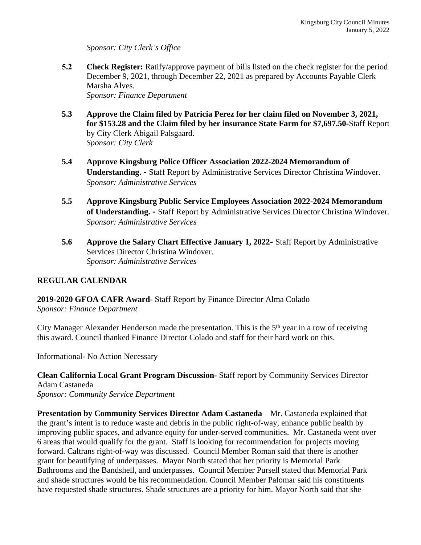*Sponsor: City Clerk's Office*

**5.2 Check Register:** Ratify/approve payment of bills listed on the check register for the period December 9, 2021, through December 22, 2021 as prepared by Accounts Payable Clerk Marsha Alves. *Sponsor: Finance Department*

**5.3 Approve the Claim filed by Patricia Perez for her claim filed on November 3, 2021, for \$153.28 and the Claim filed by her insurance State Farm for \$7,697.50-**Staff Report by City Clerk Abigail Palsgaard. *Sponsor: City Clerk*

- **5.4 Approve Kingsburg Police Officer Association 2022-2024 Memorandum of Understanding. -** Staff Report by Administrative Services Director Christina Windover. *Sponsor: Administrative Services*
- **5.5 Approve Kingsburg Public Service Employees Association 2022-2024 Memorandum of Understanding. -** Staff Report by Administrative Services Director Christina Windover. *Sponsor: Administrative Services*
- **5.6 Approve the Salary Chart Effective January 1, 2022** Staff Report by Administrative Services Director Christina Windover. *Sponsor: Administrative Services*

## **REGULAR CALENDAR**

**2019-2020 GFOA CAFR Award**- Staff Report by Finance Director Alma Colado *Sponsor: Finance Department*

City Manager Alexander Henderson made the presentation. This is the 5<sup>th</sup> year in a row of receiving this award. Council thanked Finance Director Colado and staff for their hard work on this.

Informational- No Action Necessary

**Clean California Local Grant Program Discussion-** Staff report by Community Services Director Adam Castaneda *Sponsor: Community Service Department*

**Presentation by Community Services Director Adam Castaneda** – Mr. Castaneda explained that the grant's intent is to reduce waste and debris in the public right-of-way, enhance public health by improving public spaces, and advance equity for under-served communities. Mr. Castaneda went over 6 areas that would qualify for the grant. Staff is looking for recommendation for projects moving forward. Caltrans right-of-way was discussed. Council Member Roman said that there is another grant for beautifying of underpasses. Mayor North stated that her priority is Memorial Park Bathrooms and the Bandshell, and underpasses. Council Member Pursell stated that Memorial Park and shade structures would be his recommendation. Council Member Palomar said his constituents have requested shade structures. Shade structures are a priority for him. Mayor North said that she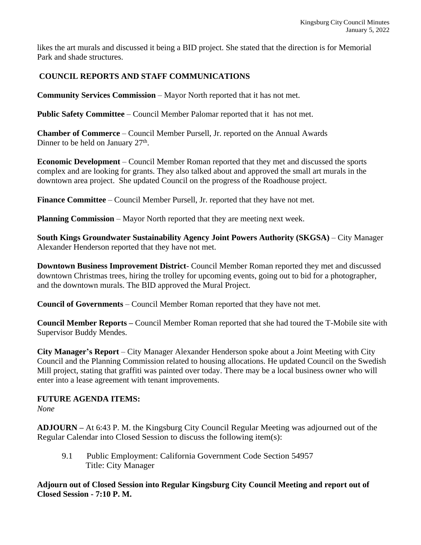likes the art murals and discussed it being a BID project. She stated that the direction is for Memorial Park and shade structures.

## **COUNCIL REPORTS AND STAFF COMMUNICATIONS**

**Community Services Commission** – Mayor North reported that it has not met.

**Public Safety Committee** – Council Member Palomar reported that it has not met.

**Chamber of Commerce** – Council Member Pursell, Jr. reported on the Annual Awards Dinner to be held on January 27<sup>th</sup>.

**Economic Development** – Council Member Roman reported that they met and discussed the sports complex and are looking for grants. They also talked about and approved the small art murals in the downtown area project. She updated Council on the progress of the Roadhouse project.

**Finance Committee** – Council Member Pursell, Jr. reported that they have not met.

**Planning Commission** – Mayor North reported that they are meeting next week.

**South Kings Groundwater Sustainability Agency Joint Powers Authority (SKGSA)** – City Manager Alexander Henderson reported that they have not met.

**Downtown Business Improvement District**- Council Member Roman reported they met and discussed downtown Christmas trees, hiring the trolley for upcoming events, going out to bid for a photographer, and the downtown murals. The BID approved the Mural Project.

**Council of Governments** – Council Member Roman reported that they have not met.

**Council Member Reports –** Council Member Roman reported that she had toured the T-Mobile site with Supervisor Buddy Mendes.

**City Manager's Report** – City Manager Alexander Henderson spoke about a Joint Meeting with City Council and the Planning Commission related to housing allocations. He updated Council on the Swedish Mill project, stating that graffiti was painted over today. There may be a local business owner who will enter into a lease agreement with tenant improvements.

# **FUTURE AGENDA ITEMS:**

*None*

**ADJOURN –** At 6:43 P. M. the Kingsburg City Council Regular Meeting was adjourned out of the Regular Calendar into Closed Session to discuss the following item(s):

9.1 Public Employment: California Government Code Section 54957 Title: City Manager

**Adjourn out of Closed Session into Regular Kingsburg City Council Meeting and report out of Closed Session - 7:10 P. M.**